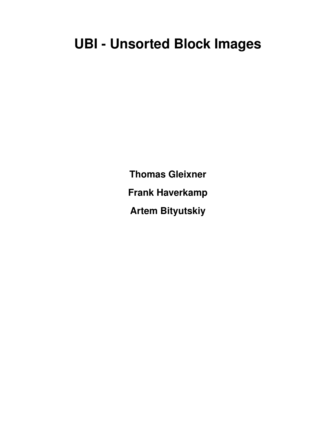# **UBI - Unsorted Block Images**

**Thomas Gleixner Frank Haverkamp Artem Bityutskiy**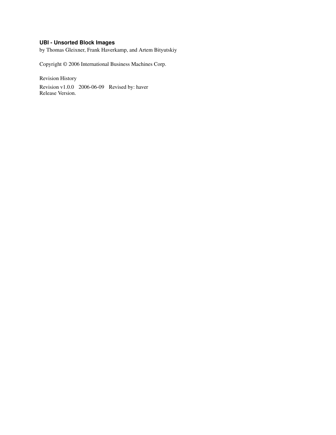### **UBI - Unsorted Block Images**

by Thomas Gleixner, Frank Haverkamp, and Artem Bityutskiy

Copyright © 2006 International Business Machines Corp.

Revision History

Revision v1.0.0 2006-06-09 Revised by: haver Release Version.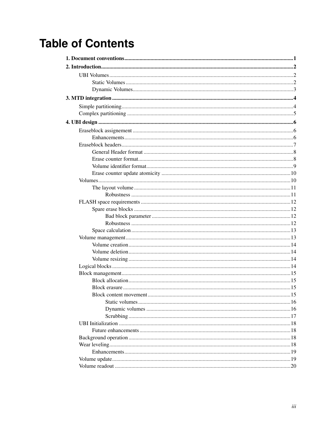# **Table of Contents**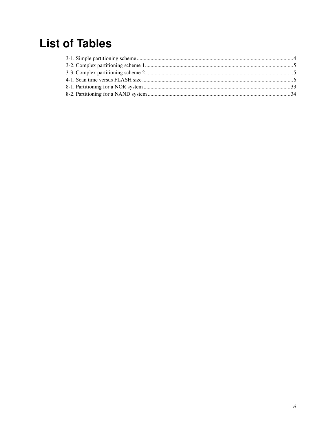# **List of Tables**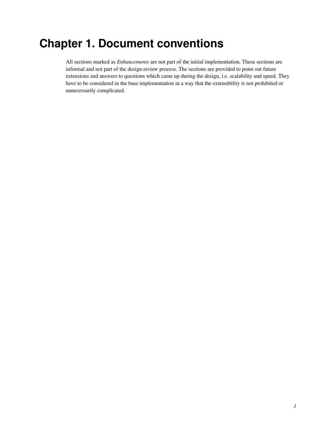# <span id="page-6-0"></span>**Chapter 1. Document conventions**

All sections marked as *Enhancements* are not part of the initial implementation. These sections are informal and not part of the design review process. The sections are provided to point out future extensions and answers to questions which came up during the design, i.e. scalability and speed. They have to be considered in the base implementation in a way that the extensibility is not prohibited or unnecessarily complicated.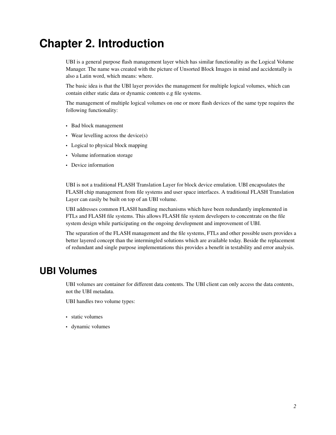# <span id="page-7-0"></span>**Chapter 2. Introduction**

UBI is a general purpose flash management layer which has similar functionality as the Logical Volume Manager. The name was created with the picture of Unsorted Block Images in mind and accidentally is also a Latin word, which means: where.

The basic idea is that the UBI layer provides the management for multiple logical volumes, which can contain either static data or dynamic contents e.g file systems.

The management of multiple logical volumes on one or more flash devices of the same type requires the following functionality:

- Bad block management
- Wear levelling across the device(s)
- Logical to physical block mapping
- Volume information storage
- Device information

UBI is not a traditional FLASH Translation Layer for block device emulation. UBI encapsulates the FLASH chip management from file systems and user space interfaces. A traditional FLASH Translation Layer can easily be built on top of an UBI volume.

UBI addresses common FLASH handling mechanisms which have been redundantly implemented in FTLs and FLASH file systems. This allows FLASH file system developers to concentrate on the file system design while participating on the ongoing development and improvement of UBI.

The separation of the FLASH management and the file systems, FTLs and other possible users provides a better layered concept than the intermingled solutions which are available today. Beside the replacement of redundant and single purpose implementations this provides a benefit in testability and error analysis.

# <span id="page-7-1"></span>**UBI Volumes**

UBI volumes are container for different data contents. The UBI client can only access the data contents, not the UBI metadata.

UBI handles two volume types:

- static volumes
- <span id="page-7-2"></span>• dynamic volumes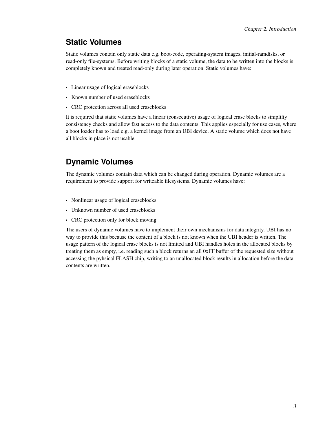### **Static Volumes**

Static volumes contain only static data e.g. boot-code, operating-system images, initial-ramdisks, or read-only file-systems. Before writing blocks of a static volume, the data to be written into the blocks is completely known and treated read-only during later operation. Static volumes have:

- Linear usage of logical eraseblocks
- Known number of used eraseblocks
- CRC protection across all used eraseblocks

It is required that static volumes have a linear (consecutive) usage of logical erase blocks to simplifiy consistency checks and allow fast access to the data contents. This applies especially for use cases, where a boot loader has to load e.g. a kernel image from an UBI device. A static volume which does not have all blocks in place is not usable.

## <span id="page-8-0"></span>**Dynamic Volumes**

The dynamic volumes contain data which can be changed during operation. Dynamic volumes are a requirement to provide support for writeable filesystems. Dynamic volumes have:

- Nonlinear usage of logical eraseblocks
- Unknown number of used eraseblocks
- CRC protection only for block moving

The users of dynamic volumes have to implement their own mechanisms for data integrity. UBI has no way to provide this because the content of a block is not known when the UBI header is written. The usage pattern of the logical erase blocks is not limited and UBI handles holes in the allocated blocks by treating them as empty, i.e. reading such a block returns an all 0xFF buffer of the requested size without accessing the pyhsical FLASH chip, writing to an unallocated block results in allocation before the data contents are written.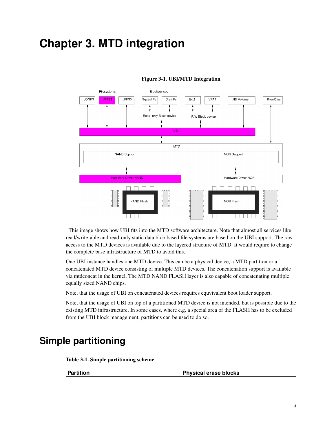# <span id="page-9-0"></span>**Chapter 3. MTD integration**



#### Figure 3-1. UBI/MTD Integration

This image shows how UBI fits into the MTD software architecture. Note that almost all services like read/write-able and read-only static data blob based file systems are based on the UBI support. The raw access to the MTD devices is available due to the layered structure of MTD. It would require to change the complete base infrastructure of MTD to avoid this.

One UBI instance handles one MTD device. This can be a physical device, a MTD partition or a concatenated MTD device consisting of multiple MTD devices. The concatenation support is available via mtdconcat in the kernel. The MTD NAND FLASH layer is also capable of concatenating multiple equally sized NAND chips.

Note, that the usage of UBI on concatenated devices requires equvivalent boot loader support.

Note, that the usage of UBI on top of a partitioned MTD device is not intended, but is possible due to the existing MTD infrastructure. In some cases, where e.g. a special area of the FLASH has to be excluded from the UBI block management, partitions can be used to do so.

# <span id="page-9-2"></span><span id="page-9-1"></span>**Simple partitioning**

Table 3-1. Simple partitioning scheme

Partition **Partition Physical erase blocks**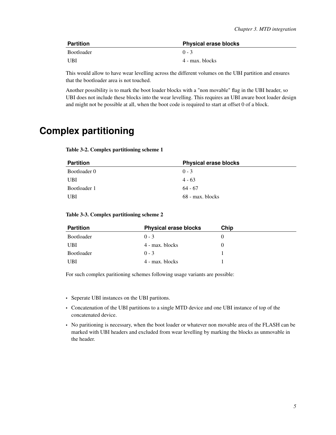| Partition  | <b>Physical erase blocks</b> |
|------------|------------------------------|
| Bootloader | $0 - 3$                      |
| UBI        | 4 - max. blocks              |

This would allow to have wear levelling across the different volumes on the UBI partition and ensures that the bootloader area is not touched.

Another possibility is to mark the boot loader blocks with a "non movable" flag in the UBI header, so UBI does not include these blocks into the wear levelling. This requires an UBI aware boot loader design and might not be possible at all, when the boot code is required to start at offset 0 of a block.

# <span id="page-10-1"></span><span id="page-10-0"></span>**Complex partitioning**

#### Table 3-2. Complex partitioning scheme 1

| <b>Partition</b> | <b>Physical erase blocks</b> |
|------------------|------------------------------|
| Bootloader 0     | $0 - 3$                      |
| UBI              | $4 - 63$                     |
| Bootloader 1     | $64 - 67$                    |
| <b>UBI</b>       | 68 - max. blocks             |

#### <span id="page-10-2"></span>Table 3-3. Complex partitioning scheme 2

| <b>Partition</b> | <b>Physical erase blocks</b> | Chip |
|------------------|------------------------------|------|
| Bootloader       | $0 - 3$                      |      |
| <b>UBI</b>       | 4 - max. blocks              |      |
| Bootloader       | $0 - 3$                      |      |
| <b>UBI</b>       | 4 - max. blocks              |      |

For such complex paritioning schemes following usage variants are possible:

- Seperate UBI instances on the UBI partitons.
- Concatenation of the UBI partitions to a single MTD device and one UBI instance of top of the concatenated device.
- No paritioning is necessary, when the boot loader or whatever non movable area of the FLASH can be marked with UBI headers and excluded from wear levelling by marking the blocks as unmovable in the header.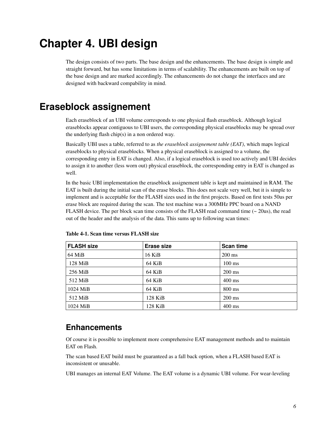# <span id="page-11-0"></span>**Chapter 4. UBI design**

The design consists of two parts. The base design and the enhancements. The base design is simple and straight forward, but has some limitations in terms of scalability. The enhancements are built on top of the base design and are marked accordingly. The enhancements do not change the interfaces and are designed with backward compability in mind.

# <span id="page-11-1"></span>**Eraseblock assignement**

Each eraseblock of an UBI volume corresponds to one physical flash eraseblock. Although logical eraseblocks appear contiguous to UBI users, the corresponding physical eraseblocks may be spread over the underlying flash chip(s) in a non ordered way.

Basically UBI uses a table, referred to as *the eraseblock assignement table (EAT)*, which maps logical eraseblocks to physical eraseblocks. When a physical eraseblock is assigned to a volume, the corresponding entry in EAT is changed. Also, if a logical eraseblock is used too actively and UBI decides to assign it to another (less worn out) physical eraseblock, the corresponding entry in EAT is changed as well.

In the basic UBI implementation the eraseblock assignement table is kept and maintained in RAM. The EAT is built during the initial scan of the erase blocks. This does not scale very well, but it is simple to implement and is acceptable for the FLASH sizes used in the first projects. Based on first tests 50us per erase block are required during the scan. The test machine was a 300MHz PPC board on a NAND FLASH device. The per block scan time consists of the FLASH read command time  $\left(\sim 20 \text{us}\right)$ , the read out of the header and the analysis of the data. This sums up to following scan times:

| <b>FLASH size</b> | Erase size | <b>Scan time</b> |
|-------------------|------------|------------------|
| $64$ MiB          | $16$ KiB   | $200 \text{ ms}$ |
| $128$ MiB         | 64 KiB     | $100 \text{ ms}$ |
| $256$ MiB         | 64 KiB     | $200 \text{ ms}$ |
| 512 MiB           | 64 KiB     | $400 \text{ ms}$ |
| $1024$ MiB        | 64 KiB     | $800 \text{ ms}$ |
| 512 MiB           | $128$ KiB  | $200 \text{ ms}$ |
| $1024$ MiB        | $128$ KiB  | $400 \text{ ms}$ |

<span id="page-11-3"></span>Table 4-1. Scan time versus FLASH size

## <span id="page-11-2"></span>**Enhancements**

Of course it is possible to implement more comprehensive EAT management methods and to maintain EAT on Flash.

The scan based EAT build must be guaranteed as a fall back option, when a FLASH based EAT is inconsistent or unusable.

UBI manages an internal EAT Volume. The EAT volume is a dynamic UBI volume. For wear-leveling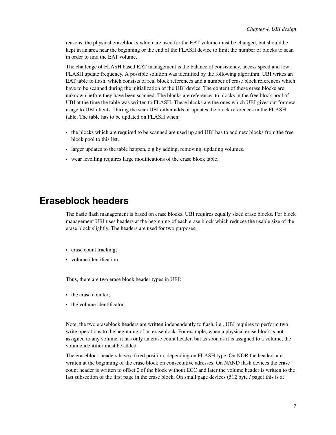reasons, the physical eraseblocks which are used for the EAT volume must be changed, but should be kept in an area near the beginning or the end of the FLASH device to limit the number of blocks to scan in order to find the EAT volume.

The challenge of FLASH based EAT management is the balance of consistency, access speed and low FLASH update frequency. A possible solution was identified by the following algortihm. UBI writes an EAT table to flash, which consists of real block references and a number of erase block references which have to be scanned during the initialization of the UBI device. The content of these erase blocks are unknown before they have been scanned. The blocks are references to blocks in the free block pool of UBI at the time the table was written to FLASH. These blocks are the ones which UBI gives out for new usage to UBI clients. During the scan UBI either adds or updates the block references in the FLASH table. The table has to be updated on FLASH when:

- the blocks which are required to be scanned are used up and UBI has to add new blocks from the free block pool to this list.
- larger updates to the table happen, e.g by adding, removing, updating volumes.
- wear levelling requires large modifications of the erase block table.

# <span id="page-12-0"></span>**Eraseblock headers**

The basic flash management is based on erase blocks. UBI requires equally sized erase blocks. For block management UBI uses headers at the beginning of each erase block which reduces the usable size of the erase block slightly. The headers are used for two purposes:

- erase count tracking;
- volume identification.

Thus, there are two erase block header types in UBI:

- the erase counter;
- the volume identificator.

Note, the two eraseblock headers are written independently to flash, i.e., UBI requires to perform two write operations to the beginning of an eraseblock. For example, when a physical erase block is not assigned to any volume, it has only an erase count header, but as soon as it is assigned to a volume, the volume identifier must be added.

The eraseblock headers have a fixed position, depending on FLASH type. On NOR the headers are written at the beginning of the erase block on consectutive adresses. On NAND flash devices the erase count header is written to offset 0 of the block without ECC and later the volume header is written to the last subscetion of the first page in the erase block. On small page devices (512 byte / page) this is at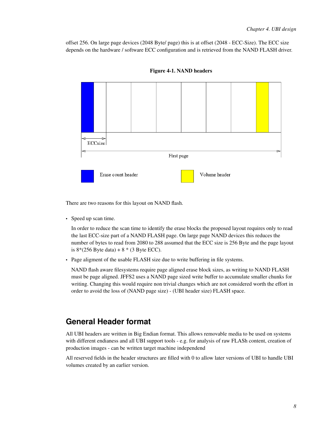offset 256. On large page devices (2048 Byte/ page) this is at offset (2048 - ECC-Size). The ECC size depends on the hardware / software ECC configuration and is retrieved from the NAND FLASH driver.



Figure 4-1. NAND headers

There are two reasons for this layout on NAND flash.

• Speed up scan time.

In order to reduce the scan time to identify the erase blocks the proposed layout requires only to read the last ECC-size part of a NAND FLASH page. On large page NAND devices this reduces the number of bytes to read from 2080 to 288 assumed that the ECC size is 256 Byte and the page layout is  $8*(256 \text{ B}$ yte data) +  $8*(3 \text{ B}$ yte ECC).

• Page aligment of the usable FLASH size due to write buffering in file systems.

NAND flash aware filesystems require page aligned erase block sizes, as writing to NAND FLASH must be page aligned. JFFS2 uses a NAND page sized write buffer to accumulate smaller chunks for writing. Changing this would require non trivial changes which are not considered worth the effort in order to avoid the loss of (NAND page size) - (UBI header size) FLASH space.

### <span id="page-13-0"></span>**General Header format**

All UBI headers are written in Big Endian format. This allows removable media to be used on systems with different endianess and all UBI support tools - e.g. for analysis of raw FLASh content, creation of production images - can be written target machine independend

<span id="page-13-1"></span>All reserved fields in the header structures are filled with 0 to allow later versions of UBI to handle UBI volumes created by an earlier version.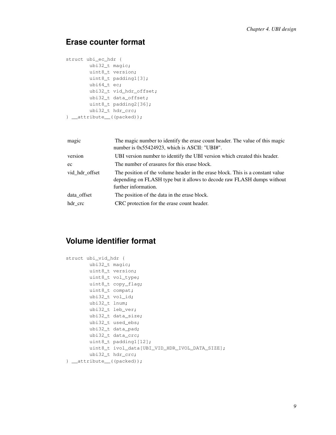### **Erase counter format**

```
struct ubi_ec_hdr {
       ubi32_t magic;
       uint8_t version;
       uint8_t padding1[3];
       ubi64_t ec;
       ubi32_t vid_hdr_offset;
       ubi32_t data_offset;
       uint8_t padding2[36];
       ubi32_t hdr_crc;
} __attribute__((packed));
```

| magic          | The magic number to identify the erase count header. The value of this magic<br>number is $0x55424923$ , which is ASCII: "UBI#".                                                  |
|----------------|-----------------------------------------------------------------------------------------------------------------------------------------------------------------------------------|
| version        | UBI version number to identify the UBI version which created this header.                                                                                                         |
| ec             | The number of erasures for this erase block.                                                                                                                                      |
| vid hdr offset | The position of the volume header in the erase block. This is a constant value<br>depending on FLASH type but it allows to decode raw FLASH dumps without<br>further information. |
| data offset    | The position of the data in the erase block.                                                                                                                                      |
| hdr_crc        | CRC protection for the erase count header.                                                                                                                                        |

## <span id="page-14-0"></span>**Volume identifier format**

```
struct ubi_vid_hdr {
       ubi32_t magic;
       uint8_t version;
       uint8_t vol_type;
        uint8_t copy_flag;
        uint8_t compat;
        ubi32_t vol_id;
       ubi32_t lnum;
       ubi32_t leb_ver;
        ubi32_t data_size;
       ubi32_t used_ebs;
       ubi32_t data_pad;
       ubi32_t data_crc;
        uint8_t padding1[12];
        uint8_t ivol_data[UBI_VID_HDR_IVOL_DATA_SIZE];
        ubi32_t hdr_crc;
} __attribute__((packed));
```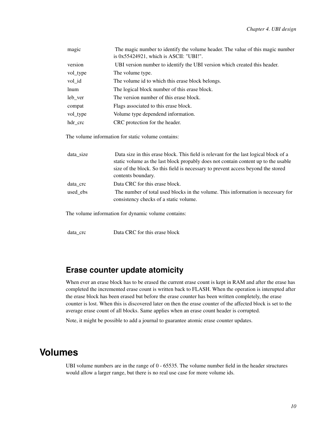| magic    | The magic number to identify the volume header. The value of this magic number<br>is $0x55424921$ , which is ASCII: "UBI!". |
|----------|-----------------------------------------------------------------------------------------------------------------------------|
| version  | UBI version number to identify the UBI version which created this header.                                                   |
| vol_type | The volume type.                                                                                                            |
| vol_id   | The volume id to which this erase block belongs.                                                                            |
| lnum     | The logical block number of this erase block.                                                                               |
| leb_ver  | The version number of this erase block.                                                                                     |
| compat   | Flags associated to this erase block.                                                                                       |
| vol_type | Volume type dependend information.                                                                                          |
| hdr crc  | CRC protection for the header.                                                                                              |

The volume information for static volume contains:

| data_size | Data size in this erase block. This field is relevant for the last logical block of a                                      |
|-----------|----------------------------------------------------------------------------------------------------------------------------|
|           | static volume as the last block propably does not contain content up to the usable                                         |
|           | size of the block. So this field is necessary to prevent access beyond the stored                                          |
|           | contents boundary.                                                                                                         |
| data crc  | Data CRC for this erase block.                                                                                             |
| used ebs  | The number of total used blocks in the volume. This information is necessary for<br>consistency checks of a static volume. |
|           | The volume information for dynamic volume contains:                                                                        |
|           |                                                                                                                            |

data\_crc Data CRC for this erase block

## <span id="page-15-0"></span>**Erase counter update atomicity**

When ever an erase block has to be erased the current erase count is kept in RAM and after the erase has completed the incremented erase count is written back to FLASH. When the operation is interupted after the erase block has been erased but before the erase counter has been written completely, the erase counter is lost. When this is discovered later on then the erase counter of the affected block is set to the average erase count of all blocks. Same applies when an erase count header is corrupted.

Note, it might be possible to add a journal to guarantee atomic erase counter updates.

# <span id="page-15-1"></span>**Volumes**

UBI volume numbers are in the range of 0 - 65535. The volume number field in the header structures would allow a larger range, but there is no real use case for more volume ids.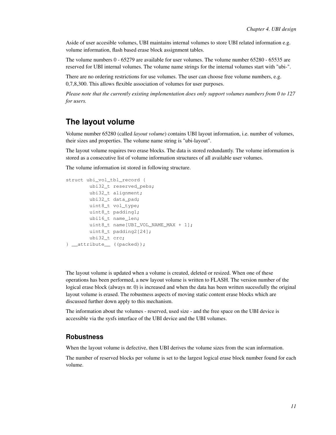Aside of user accesible volumes, UBI maintains internal volumes to store UBI related information e.g. volume information, flash based erase block assignment tables.

The volume numbers 0 - 65279 are available for user volumes. The volume number 65280 - 65535 are reserved for UBI internal volumes. The volume name strings for the internal volumes start with "ubi-".

There are no ordering restrictions for use volumes. The user can choose free volume numbers, e.g. 0,7,8,300. This allows flexible association of volumes for user purposes.

<span id="page-16-0"></span>*Please note that the currently existing implementation does only support volumes numbers from 0 to 127 for users.*

### **The layout volume**

Volume number 65280 (called *layout volume*) contains UBI layout information, i.e. number of volumes, their sizes and properties. The volume name string is "ubi-layout".

The layout volume requires two erase blocks. The data is stored redundantly. The volume information is stored as a consecutive list of volume information structures of all available user volumes.

The volume information ist stored in following structure.

```
struct ubi vol tbl record {
       ubi32_t reserved_pebs;
       ubi32_t alignment;
       ubi32_t data_pad;
       uint8_t vol_type;
       uint8_t padding1;
       ubi16_t name_len;
       uint8_t name[UBI_VOL_NAME_MAX + 1];
       uint8_t padding2[24];
       ubi32 t crc;
} __attribute__ ((packed));
```
The layout volume is updated when a volume is created, deleted or resized. When one of these operations has been performed, a new layout volume is written to FLASH. The version number of the logical erase block (always nr. 0) is increased and when the data has been written sucessfully the original layout volume is erased. The robustness aspects of moving static content erase blocks which are discussed further down apply to this mechanism.

<span id="page-16-1"></span>The information about the volumes - reserved, used size - and the free space on the UBI device is accessible via the sysfs interface of the UBI device and the UBI volumes.

#### **Robustness**

When the layout volume is defective, then UBI derives the volume sizes from the scan information.

The number of reserved blocks per volume is set to the largest logical erase block number found for each volume.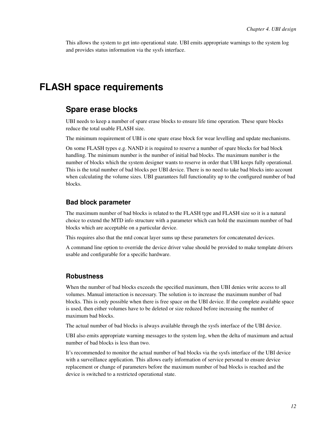This allows the system to get into operational state. UBI emits appropriate warnings to the system log and provides status information via the sysfs interface.

# <span id="page-17-1"></span><span id="page-17-0"></span>**FLASH space requirements**

### **Spare erase blocks**

UBI needs to keep a number of spare erase blocks to ensure life time operation. These spare blocks reduce the total usable FLASH size.

The minimum requirement of UBI is one spare erase block for wear levelling and update mechanisms.

On some FLASH types e.g. NAND it is required to reserve a number of spare blocks for bad block handling. The minimum number is the number of initial bad blocks. The maximum number is the number of blocks which the system designer wants to reserve in order that UBI keeps fully operational. This is the total number of bad blocks per UBI device. There is no need to take bad blocks into account when calculating the volume sizes. UBI guarantees full functionality up to the configured number of bad blocks.

#### <span id="page-17-2"></span>**Bad block parameter**

The maximum number of bad blocks is related to the FLASH type and FLASH size so it is a natural choice to extend the MTD info structure with a parameter which can hold the maximum number of bad blocks which are acceptable on a particular device.

This requires also that the mtd concat layer sums up these parameters for concatenated devices.

A command line option to override the device driver value should be provided to make template drivers usable and configurable for a specific hardware.

#### <span id="page-17-3"></span>**Robustness**

When the number of bad blocks exceeds the specified maximum, then UBI denies write access to all volumes. Manual interaction is necessary. The solution is to increase the maximum number of bad blocks. This is only possible when there is free space on the UBI device. If the complete available space is used, then either volumes have to be deleted or size reduzed before increasing the number of maximum bad blocks.

The actual number of bad blocks is always available through the sysfs interface of the UBI device.

UBI also emits appropriate warning messages to the system log, when the delta of maximum and actual number of bad blocks is less than two.

It's recommended to monitor the actual number of bad blocks via the sysfs interface of the UBI device with a surveillance application. This allows early information of service personal to ensure device replacement or change of parameters before the maximum number of bad blocks is reached and the device is switched to a restricted operational state.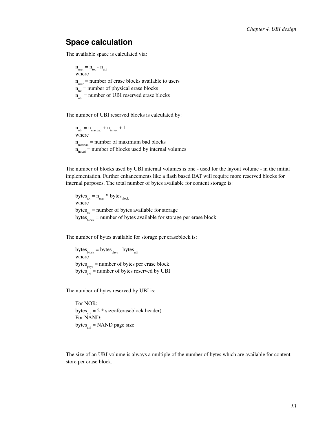### <span id="page-18-0"></span>**Space calculation**

The available space is calculated via:

 $n_{\text{user}} = n_{\text{tot}} - n_{\text{ubi}}$ where n<sub>user</sub> = number of erase blocks available to users  $n_{\text{tot}}$  = number of physical erase blocks  $n_{\text{ubi}}$  = number of UBI reserved erase blocks

The number of UBI reserved blocks is calculated by:

 $n_{\text{ubi}} = n_{\text{maxbad}} + n_{\text{intvol}} + 1$ where n maxbad = number of maximum bad blocks  $n_{\text{intvol}}$  = number of blocks used by internal volumes

The number of blocks used by UBI internal volumes is one - used for the layout volume - in the initial implementation. Further enhancements like a flash based EAT will require more reserved blocks for internal purposes. The total number of bytes available for content storage is:

bytes $_{\text{tot}} = n_{\text{user}}$ <sup>\*</sup> bytes $_{\text{block}}$ where bytes<sub>tot</sub> = number of bytes available for storage bytes $b_{block}$  = number of bytes available for storage per erase block

The number of bytes available for storage per eraseblock is:

 $bytes<sub>block</sub> = bytes<sub>phys</sub> - bytes<sub>ubi</sub>$ where bytes  $_{\text{phys}}$  = number of bytes per erase block bytes $\overrightarrow{h}$  = number of bytes reserved by UBI

The number of bytes reserved by UBI is:

For NOR: bytes<sub>ubi</sub> =  $2 *$  sizeof(eraseblock header) For NAND: bytes $_{\text{ubi}}$  = NAND page size

<span id="page-18-1"></span>The size of an UBI volume is always a multiple of the number of bytes which are available for content store per erase block.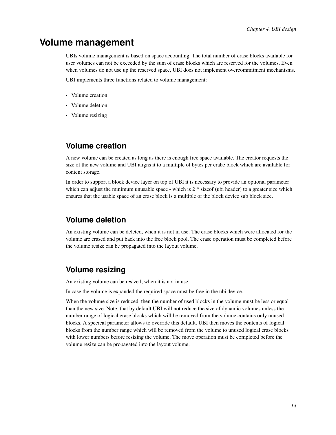# **Volume management**

UBIs volume management is based on space accounting. The total number of erase blocks available for user volumes can not be exceeded by the sum of erase blocks which are reserved for the volumes. Even when volumes do not use up the reserved space, UBI does not implement overcommitment mechanisms.

UBI implements three functions related to volume management:

- Volume creation
- Volume deletion
- <span id="page-19-0"></span>• Volume resizing

### **Volume creation**

A new volume can be created as long as there is enough free space available. The creator requests the size of the new volume and UBI aligns it to a multiple of bytes per erabe block which are available for content storage.

In order to support a block device layer on top of UBI it is necessary to provide an optional parameter which can adjust the minimum unusable space - which is  $2 *$  sizeof (ubi header) to a greater size which ensures that the usable space of an erase block is a multiple of the block device sub block size.

### <span id="page-19-1"></span>**Volume deletion**

An existing volume can be deleted, when it is not in use. The erase blocks which were allocated for the volume are erased and put back into the free block pool. The erase operation must be completed before the volume resize can be propagated into the layout volume.

## <span id="page-19-2"></span>**Volume resizing**

An existing volume can be resized, when it is not in use.

In case the volume is expanded the required space must be free in the ubi device.

<span id="page-19-3"></span>When the volume size is reduced, then the number of used blocks in the volume must be less or equal than the new size. Note, that by default UBI will not reduce the size of dynamic volumes unless the number range of logical erase blocks which will be removed from the volume contains only unused blocks. A specical parameter allows to override this default. UBI then moves the contents of logical blocks from the number range which will be removed from the volume to unused logical erase blocks with lower numbers before resizing the volume. The move operation must be completed before the volume resize can be propagated into the layout volume.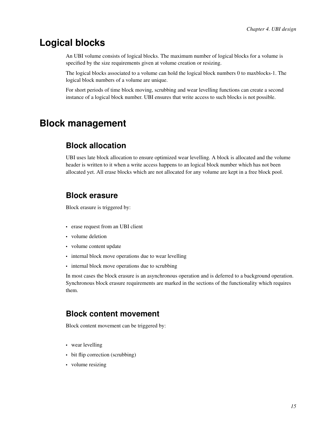# **Logical blocks**

An UBI volume consists of logical blocks. The maximum number of logical blocks for a volume is specified by the size requirements given at volume creation or resizing.

The logical blocks associated to a volume can hold the logical block numbers 0 to maxblocks-1. The logical block numbers of a volume are unique.

For short periods of time block moving, scrubbing and wear levelling functions can create a second instance of a logical block number. UBI ensures that write access to such blocks is not possible.

# <span id="page-20-1"></span><span id="page-20-0"></span>**Block management**

## **Block allocation**

UBI uses late block allocation to ensure optimized wear levelling. A block is allocated and the volume header is written to it when a write access happens to an logical block number which has not been allocated yet. All erase blocks which are not allocated for any volume are kept in a free block pool.

### <span id="page-20-2"></span>**Block erasure**

Block erasure is triggered by:

- erase request from an UBI client
- volume deletion
- volume content update
- internal block move operations due to wear levelling
- internal block move operations due to scrubbing

In most cases the block erasure is an asynchronous operation and is deferred to a background operation. Synchronous block erasure requirements are marked in the sections of the functionality which requires them.

### <span id="page-20-3"></span>**Block content movement**

Block content movement can be triggered by:

- wear levelling
- bit flip correction (scrubbing)
- volume resizing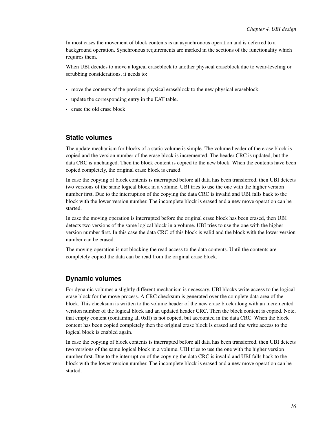In most cases the movement of block contents is an asynchronous operation and is deferred to a background operation. Synchronous requirements are marked in the sections of the functionality which requires them.

When UBI decides to move a logical eraseblock to another physical eraseblock due to wear-leveling or scrubbing considerations, it needs to:

- move the contents of the previous physical eraseblock to the new physical eraseblock;
- update the corresponding entry in the EAT table.
- erase the old erase block

#### <span id="page-21-0"></span>**Static volumes**

The update mechanism for blocks of a static volume is simple. The volume header of the erase block is copied and the version number of the erase block is incremented. The header CRC is updated, but the data CRC is unchanged. Then the block content is copied to the new block. When the contents have been copied completely, the original erase block is erased.

In case the copying of block contents is interrupted before all data has been transferred, then UBI detects two versions of the same logical block in a volume. UBI tries to use the one with the higher version number first. Due to the interruption of the copying the data CRC is invalid and UBI falls back to the block with the lower version number. The incomplete block is erased and a new move operation can be started.

In case the moving operation is interrupted before the original erase block has been erased, then UBI detects two versions of the same logical block in a volume. UBI tries to use the one with the higher version number first. In this case the data CRC of this block is valid and the block with the lower version number can be erased.

The moving operation is not blocking the read access to the data contents. Until the contents are completely copied the data can be read from the original erase block.

#### <span id="page-21-1"></span>**Dynamic volumes**

For dynamic volumes a slightly different mechanism is necessary. UBI blocks write access to the logical erase block for the move process. A CRC checksum is generated over the complete data area of the block. This checksum is written to the volume header of the new erase block along with an incremented version number of the logical block and an updated header CRC. Then the block content is copied. Note, that empty content (containing all 0xff) is not copied, but accounted in the data CRC. When the block content has been copied completely then the original erase block is erased and the write access to the logical block is enabled again.

In case the copying of block contents is interrupted before all data has been transferred, then UBI detects two versions of the same logical block in a volume. UBI tries to use the one with the higher version number first. Due to the interruption of the copying the data CRC is invalid and UBI falls back to the block with the lower version number. The incomplete block is erased and a new move operation can be started.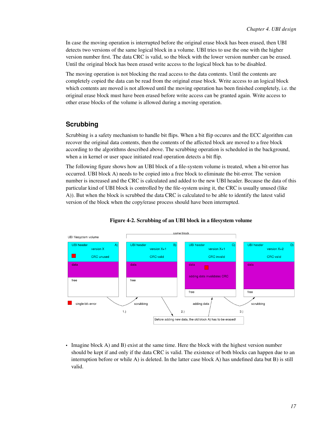In case the moving operation is interrupted before the original erase block has been erased, then UBI detects two versions of the same logical block in a volume. UBI tries to use the one with the higher version number first. The data CRC is valid, so the block with the lower version number can be erased. Until the original block has been erased write access to the logical block has to be disabled.

The moving operation is not blocking the read access to the data contents. Until the contents are completely copied the data can be read from the original erase block. Write access to an logical block which contents are moved is not allowed until the moving operation has been finished completely, i.e. the original erase block must have been erased before write access can be granted again. Write access to other erase blocks of the volume is allowed during a moving operation.

### <span id="page-22-0"></span>**Scrubbing**

Scrubbing is a safety mechanism to handle bit flips. When a bit flip occures and the ECC algorithm can recover the original data contents, then the contents of the affected block are moved to a free block according to the algorithms described above. The scrubbing operation is scheduled in the background, when a in kernel or user space initiated read operation detects a bit flip.

The following figure shows how an UBI block of a file-system volume is treated, when a bit-error has occurred. UBI block A) needs to be copied into a free block to eliminate the bit-error. The version number is increased and the CRC is calculated and added to the new UBI header. Because the data of this particular kind of UBI block is controlled by the file-system using it, the CRC is usually unused (like A)). But when the block is scrubbed the data CRC is calculated to be able to identify the latest valid version of the block when the copy/erase process should have been interrupted.



#### Figure 4-2. Scrubbing of an UBI block in a filesystem volume

• Imagine block A) and B) exist at the same time. Here the block with the highest version number should be kept if and only if the data CRC is valid. The existence of both blocks can happen due to an interruption before or while A) is deleted. In the latter case block A) has undefined data but B) is still valid.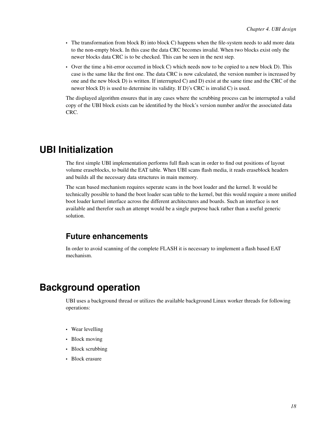- The transformation from block B) into block C) happens when the file-system needs to add more data to the non-empty block. In this case the data CRC becomes invalid. When two blocks exist only the newer blocks data CRC is to be checked. This can be seen in the next step.
- Over the time a bit-error occurred in block C) which needs now to be copied to a new block D). This case is the same like the first one. The data CRC is now calculated, the version number is increased by one and the new block D) is written. If interrupted C) and D) exist at the same time and the CRC of the newer block D) is used to determine its validity. If D)'s CRC is invalid C) is used.

The displayed algorithm ensures that in any cases where the scrubbing process can be interrupted a valid copy of the UBI block exists can be identified by the block's version number and/or the associated data CRC.

# <span id="page-23-0"></span>**UBI Initialization**

The first simple UBI implementation performs full flash scan in order to find out positions of layout volume eraseblocks, to build the EAT table. When UBI scans flash media, it reads eraseblock headers and builds all the necessary data structures in main memory.

The scan based mechanism requires seperate scans in the boot loader and the kernel. It would be technically possible to hand the boot loader scan table to the kernel, but this would require a more unified boot loader kernel interface across the different architectures and boards. Such an interface is not available and therefor such an attempt would be a single purpose hack rather than a useful generic solution.

### <span id="page-23-1"></span>**Future enhancements**

In order to avoid scanning of the complete FLASH it is necessary to implement a flash based EAT mechanism.

# <span id="page-23-2"></span>**Background operation**

UBI uses a background thread or utilizes the available background Linux worker threads for following operations:

- Wear levelling
- Block moving
- Block scrubbing
- <span id="page-23-3"></span>• Block erasure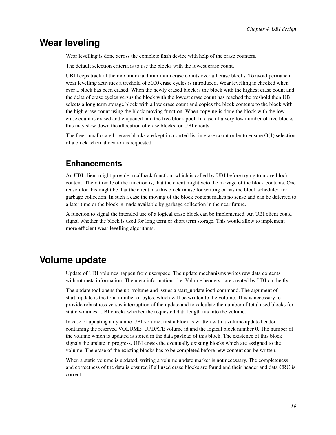# **Wear leveling**

Wear levelling is done across the complete flash device with help of the erase counters.

The default selection criteria is to use the blocks with the lowest erase count.

UBI keeps track of the maximum and minimum erase counts over all erase blocks. To avoid permanent wear levelling activities a treshold of 5000 erase cycles is introduced. Wear levelling is checked when ever a block has been erased. When the newly erased block is the block with the highest erase count and the delta of erase cycles versus the block with the lowest erase count has reached the treshold then UBI selects a long term storage block with a low erase count and copies the block contents to the block with the high erase count using the block moving function. When copying is done the block with the low erase count is erased and enqueued into the free block pool. In case of a very low number of free blocks this may slow down the allocation of erase blocks for UBI clients.

<span id="page-24-0"></span>The free - unallocated - erase blocks are kept in a sorted list in erase count order to ensure O(1) selection of a block when allocation is requested.

### **Enhancements**

An UBI client might provide a callback function, which is called by UBI before trying to move block content. The rationale of the function is, that the client might veto the movage of the block contents. One reason for this might be that the client has this block in use for writing or has the block scheduled for garbage collection. In such a case the moving of the block content makes no sense and can be deferred to a later time or the block is made available by garbage collection in the near future.

A function to signal the intended use of a logical erase block can be implemented. An UBI client could signal whether the block is used for long term or short term storage. This would allow to implement more efficient wear levelling algorithms.

## <span id="page-24-1"></span>**Volume update**

Update of UBI volumes happen from userspace. The update mechanisms writes raw data contents without meta information. The meta information - i.e. Volume headers - are created by UBI on the fly.

The update tool opens the ubi volume and issues a start\_update ioctl command. The argument of start update is the total number of bytes, which will be written to the volume. This is necessary to provide robustness versus interruption of the update and to calculate the number of total used blocks for static volumes. UBI checks whether the requested data length fits into the volume.

In case of updating a dynamic UBI volume, first a block is written with a volume update header containing the reserved VOLUME\_UPDATE volume id and the logical block number 0. The number of the volume which is updated is stored in the data payload of this block. The existence of this block signals the update in progress. UBI erases the eventually existing blocks which are assigned to the volume. The erase of the existing blocks has to be completed before new content can be written.

When a static volume is updated, writing a volume update marker is not necessary. The completeness and correctness of the data is ensured if all used erase blocks are found and their header and data CRC is correct.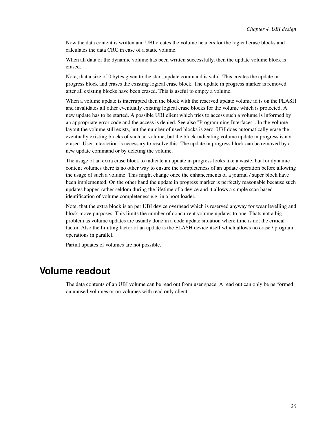Now the data content is written and UBI creates the volume headers for the logical erase blocks and calculates the data CRC in case of a static volume.

When all data of the dynamic volume has been written successfully, then the update volume block is erased.

Note, that a size of 0 bytes given to the start update command is valid. This creates the update in progress block and erases the existing logical erase block. The update in progress marker is removed after all existing blocks have been erased. This is useful to empty a volume.

When a volume update is interrupted then the block with the reserved update volume id is on the FLASH and invalidates all other eventually existing logical erase blocks for the volume which is protected. A new update has to be started. A possible UBI client which tries to access such a volume is informed by an appropriate error code and the access is denied. See also "Programming Interfaces". In the volume layout the volume still exists, but the number of used blocks is zero. UBI does automatically erase the eventually existing blocks of such an volume, but the block indicating volume update in progress is not erased. User interaction is necessary to resolve this. The update in progress block can be removed by a new update command or by deleting the volume.

The usage of an extra erase block to indicate an update in progress looks like a waste, but for dynamic content volumes there is no other way to ensure the completeness of an update operation before allowing the usage of such a volume. This might change once the enhancements of a journal / super block have been implemented. On the other hand the update in progress marker is perfectly reasonable because such updates happen rather seldom during the lifetime of a device and it allows a simple scan based identification of volume completeness e.g. in a boot loader.

Note, that the extra block is an per UBI device overhead which is reserved anyway for wear levelling and block move purposes. This limits the number of concurrent volume updates to one. Thats not a big problem as volume updates are usually done in a code update situation where time is not the critical factor. Also the limiting factor of an update is the FLASH device itself which allows no erase / program operations in parallel.

Partial updates of volumes are not possible.

# <span id="page-25-0"></span>**Volume readout**

The data contents of an UBI volume can be read out from user space. A read out can only be performed on unused volumes or on volumes with read only client.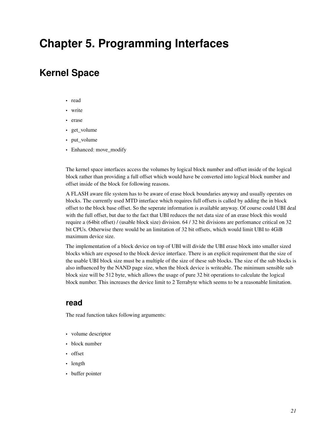# <span id="page-26-0"></span>**Chapter 5. Programming Interfaces**

# <span id="page-26-1"></span>**Kernel Space**

- read
- write
- erase
- get\_volume
- put\_volume
- Enhanced: move\_modify

The kernel space interfaces access the volumes by logical block number and offset inside of the logical block rather than providing a full offset which would have be converted into logical block number and offset inside of the block for following reasons.

A FLASH aware file system has to be aware of erase block boundaries anyway and usually operates on blocks. The currently used MTD interface which requires full offsets is called by adding the in block offset to the block base offset. So the seperate information is available anyway. Of course could UBI deal with the full offset, but due to the fact that UBI reduces the net data size of an erase block this would require a (64bit offset) / (usable block size) division. 64 / 32 bit divisions are perfomance critical on 32 bit CPUs. Otherwise there would be an limitation of 32 bit offsets, which would limit UBI to 4GiB maximum device size.

The implementation of a block device on top of UBI will divide the UBI erase block into smaller sized blocks which are exposed to the block device interface. There is an explicit requirement that the size of the usable UBI block size must be a multiple of the size of these sub blocks. The size of the sub blocks is also influenced by the NAND page size, when the block device is writeable. The minimum sensible sub block size will be 512 byte, which allows the usage of pure 32 bit operations to calculate the logical block number. This increases the device limit to 2 Terrabyte which seems to be a reasonable limitation.

### <span id="page-26-2"></span>**read**

The read function takes following arguments:

- volume descriptor
- block number
- offset
- length
- buffer pointer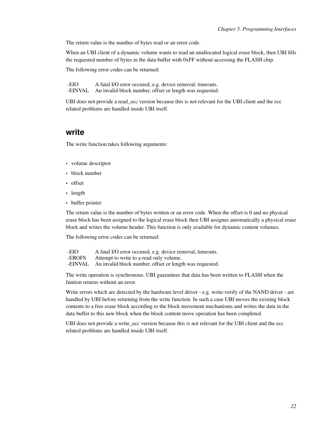The return value is the number of bytes read or an error code.

When an UBI client of a dynamic volume wants to read an unallocated logical erase block, then UBI fills the requested number of bytes in the data buffer with 0xFF without accessing the FLASH chip.

The following error codes can be returned:

-EIO A fatal I/O error occured, e.g. device removal, timeouts. -EINVAL An invalid block number, offset or length was requested.

UBI does not provide a read ecc version because this is not relevant for the UBI client and the ecc related problems are handled inside UBI itself.

#### <span id="page-27-0"></span>**write**

The write function takes following arguments:

- volume descriptor
- block number
- offset
- length
- buffer pointer

The return value is the number of bytes written or an error code. When the offset is 0 and no physical erase block has been assigned to the logical erase block then UBI assignes automatically a physical erase block and writes the volume header. This function is only available for dynamic content volumes.

The following error codes can be returned:

| -EIO    | A fatal I/O error occured, e.g. device removal, timeouts. |
|---------|-----------------------------------------------------------|
| -EROFS  | Attempt to write to a read only volume.                   |
| -EINVAL | An invalid block number, offset or length was requested.  |

The write operation is synchronous. UBI guarantees that data has been written to FLASH when the funtion returns without an error.

Write errors which are detected by the hardware level driver - e.g. write-verify of the NAND driver - are handled by UBI before returning from the write function. In such a case UBI moves the existing block contents to a free erase block according to the block movement mechanisms and writes the data in the data buffer to this new block when the block content move operation has been completed.

<span id="page-27-1"></span>UBI does not provide a write ecc version because this is not relevant for the UBI client and the ecc related problems are handled inside UBI itself.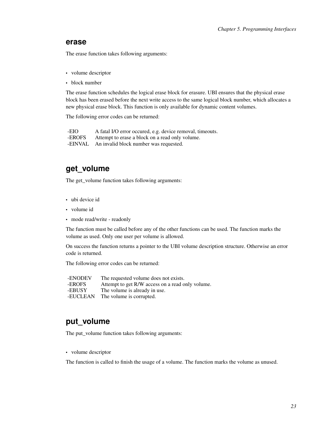#### **erase**

The erase function takes following arguments:

- volume descriptor
- block number

The erase function schedules the logical erase block for erasure. UBI ensures that the physical erase block has been erased before the next write access to the same logical block number, which allocates a new physical erase block. This function is only available for dynamic content volumes.

The following error codes can be returned:

-EIO A fatal I/O error occured, e.g. device removal, timeouts. -EROFS Attempt to erase a block on a read only volume. -EINVAL An invalid block number was requested.

### <span id="page-28-0"></span>**get\_volume**

The get\_volume function takes following arguments:

- ubi device id
- volume id
- mode read/write readonly

The function must be called before any of the other functions can be used. The function marks the volume as used. Only one user per volume is allowed.

On success the function returns a pointer to the UBI volume description structure. Otherwise an error code is returned.

The following error codes can be returned:

-ENODEV The requested volume does not exists.<br>-EROFS Attempt to get R/W access on a read of -EROFS Attempt to get R/W access on a read only volume.<br>-EBUSY The volume is already in use. The volume is already in use. -EUCLEAN The volume is corrupted.

### <span id="page-28-1"></span>**put\_volume**

The put\_volume function takes following arguments:

• volume descriptor

<span id="page-28-2"></span>The function is called to finish the usage of a volume. The function marks the volume as unused.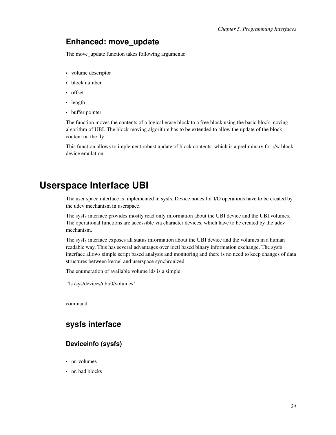### **Enhanced: move\_update**

The move\_update function takes following arguments:

- volume descriptor
- block number
- offset
- length
- buffer pointer

The function moves the contents of a logical erase block to a free block using the basic block moving algorithm of UBI. The block moving algorithm has to be extended to allow the update of the block content on the fly.

This function allows to implement robust update of block contents, which is a preliminary for r/w block device emulation.

# <span id="page-29-0"></span>**Userspace Interface UBI**

The user space interface is implemented in sysfs. Device nodes for I/O operations have to be created by the udev mechanism in userspace.

The sysfs interface provides mostly read only information about the UBI device and the UBI volumes. The operational functions are accessible via character devices, which have to be created by the udev mechanism.

The sysfs interface exposes all status information about the UBI device and the volumes in a human readable way. This has several advantages over ioctl based binary information exchange. The sysfs interface allows simple script based analysis and monitoring and there is no need to keep changes of data structures between kernel and userspace synchronized.

The enumeration of available volume ids is a simple

'ls /sys/devices/ubi/0/volumes'

<span id="page-29-1"></span>command.

## <span id="page-29-2"></span>**sysfs interface**

#### **Deviceinfo (sysfs)**

- nr. volumes
- nr. bad blocks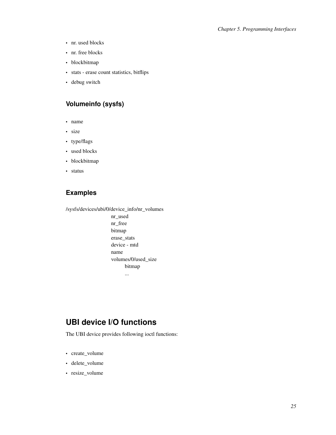- nr. used blocks
- nr. free blocks
- blockbitmap
- stats erase count statistics, bitflips
- <span id="page-30-0"></span>• debug switch

### **Volumeinfo (sysfs)**

- name
- size
- type/flags
- used blocks
- blockbitmap
- <span id="page-30-1"></span>• status

### **Examples**

/sysfs/devices/ubi/0/device\_info/nr\_volumes

nr\_used nr\_free bitmap erase\_stats device - mtd name volumes/0/used\_size bitmap ...

## <span id="page-30-2"></span>**UBI device I/O functions**

The UBI device provides following ioctl functions:

- create\_volume
- delete\_volume
- resize\_volume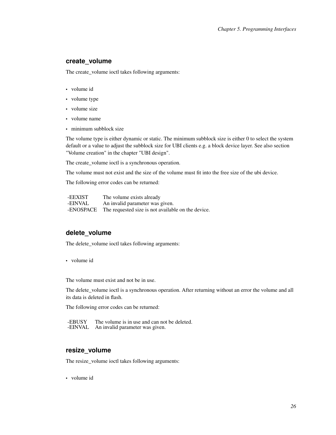#### <span id="page-31-0"></span>**create\_volume**

The create\_volume ioctl takes following arguments:

- volume id
- volume type
- volume size
- volume name
- minimum subblock size

The volume type is either dynamic or static. The minimum subblock size is either 0 to select the system default or a value to adjust the subblock size for UBI clients e.g. a block device layer. See also section "Volume creation" in the chapter "UBI design".

The create\_volume ioctl is a synchronous operation.

The volume must not exist and the size of the volume must fit into the free size of the ubi device.

The following error codes can be returned:

| -EEXIST   | The volume exists already                          |
|-----------|----------------------------------------------------|
| -EINVAL   | An invalid parameter was given.                    |
| -ENOSPACE | The requested size is not available on the device. |

#### <span id="page-31-1"></span>**delete\_volume**

The delete\_volume ioctl takes following arguments:

• volume id

The volume must exist and not be in use.

The delete\_volume ioctl is a synchronous operation. After returning without an error the volume and all its data is deleted in flash.

The following error codes can be returned:

-EBUSY The volume is in use and can not be deleted. -EINVAL An invalid parameter was given.

#### <span id="page-31-2"></span>**resize\_volume**

The resize\_volume ioctl takes following arguments:

• volume id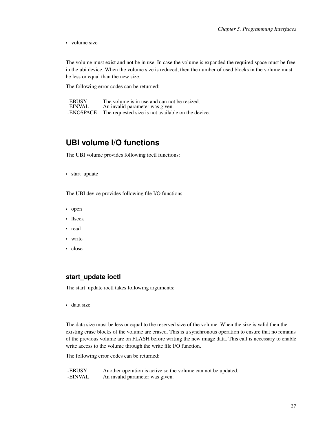• volume size

The volume must exist and not be in use. In case the volume is expanded the required space must be free in the ubi device. When the volume size is reduced, then the number of used blocks in the volume must be less or equal than the new size.

The following error codes can be returned:

| -EBUSY    | The volume is in use and can not be resized.       |
|-----------|----------------------------------------------------|
| -EINVAL   | An invalid parameter was given.                    |
| -ENOSPACE | The requested size is not available on the device. |

### <span id="page-32-0"></span>**UBI volume I/O functions**

The UBI volume provides following ioctl functions:

• start\_update

The UBI device provides following file I/O functions:

- open
- llseek
- read
- write
- <span id="page-32-1"></span>• close

#### **start\_update ioctl**

The start\_update ioctl takes following arguments:

• data size

The data size must be less or equal to the reserved size of the volume. When the size is valid then the existing erase blocks of the volume are erased. This is a synchronous operation to ensure that no remains of the previous volume are on FLASH before writing the new image data. This call is necessary to enable write access to the volume through the write file I/O function.

The following error codes can be returned:

-EBUSY Another operation is active so the volume can not be updated. -EINVAL An invalid parameter was given.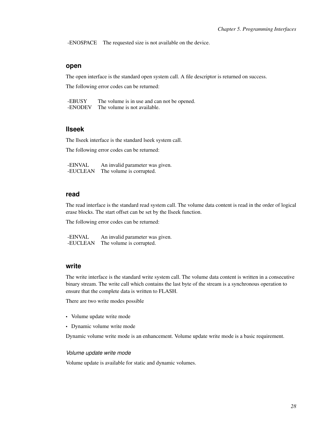<span id="page-33-0"></span>-ENOSPACE The requested size is not available on the device.

#### **open**

The open interface is the standard open system call. A file descriptor is returned on success.

The following error codes can be returned:

-EBUSY The volume is in use and can not be opened. -ENODEV The volume is not available.

#### <span id="page-33-1"></span>**llseek**

The llseek interface is the standard lseek system call.

The following error codes can be returned:

-EINVAL An invalid parameter was given. -EUCLEAN The volume is corrupted.

#### <span id="page-33-2"></span>**read**

The read interface is the standard read system call. The volume data content is read in the order of logical erase blocks. The start offset can be set by the llseek function.

The following error codes can be returned:

-EINVAL An invalid parameter was given. -EUCLEAN The volume is corrupted.

#### <span id="page-33-3"></span>**write**

The write interface is the standard write system call. The volume data content is written in a consecutive binary stream. The write call which contains the last byte of the stream is a synchronous operation to ensure that the complete data is written to FLASH.

There are two write modes possible

- Volume update write mode
- Dynamic volume write mode

<span id="page-33-4"></span>Dynamic volume write mode is an enhancement. Volume update write mode is a basic requirement.

#### *Volume update write mode*

Volume update is available for static and dynamic volumes.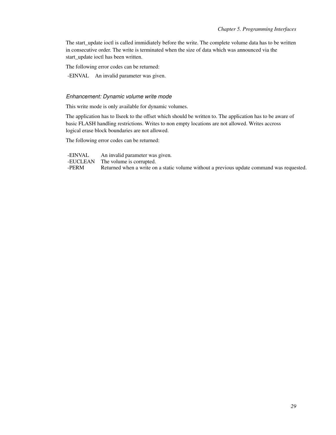The start\_update ioctl is called immidiately before the write. The complete volume data has to be written in consecutive order. The write is terminated when the size of data which was announced via the start\_update ioctl has been written.

The following error codes can be returned:

<span id="page-34-0"></span>-EINVAL An invalid parameter was given.

#### *Enhancement: Dynamic volume write mode*

This write mode is only available for dynamic volumes.

The application has to llseek to the offset which should be written to. The application has to be aware of basic FLASH handling restrictions. Writes to non empty locations are not allowed. Writes accross logical erase block boundaries are not allowed.

The following error codes can be returned:

-EINVAL An invalid parameter was given.<br>-EUCLEAN The volume is corrupted. -EUCLEAN The volume is corrupted.<br>-PERM Returned when a write on Returned when a write on a static volume without a previous update command was requested.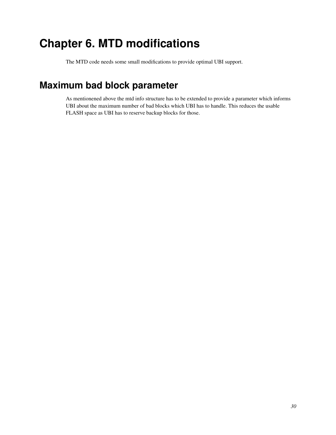# <span id="page-35-0"></span>**Chapter 6. MTD modifications**

The MTD code needs some small modifications to provide optimal UBI support.

# <span id="page-35-1"></span>**Maximum bad block parameter**

As mentionened above the mtd info structure has to be extended to provide a parameter which informs UBI about the maximum number of bad blocks which UBI has to handle. This reduces the usable FLASH space as UBI has to reserve backup blocks for those.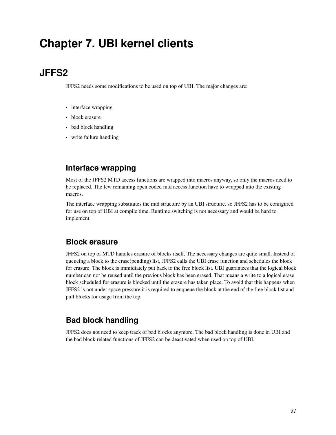# <span id="page-36-0"></span>**Chapter 7. UBI kernel clients**

# <span id="page-36-1"></span>**JFFS2**

JFFS2 needs some modifications to be used on top of UBI. The major changes are:

- interface wrapping
- block erasure
- bad block handling
- <span id="page-36-2"></span>• write failure handling

## **Interface wrapping**

Most of the JFFS2 MTD access functions are wrapped into macros anyway, so only the macros need to be replaced. The few remaining open coded mtd access function have to wrapped into the existing macros.

The interface wrapping substitutes the mtd structure by an UBI structure, so JFFS2 has to be configured for use on top of UBI at compile time. Runtime switching is not necessary and would be hard to implement.

### <span id="page-36-3"></span>**Block erasure**

JFFS2 on top of MTD handles erasure of blocks itself. The necessary changes are quite small. Instead of queueing a block to the erase(pending) list, JFFS2 calls the UBI erase function and schedules the block for erasure. The block is immidiately put back to the free block list. UBI guarantees that the logical block number can not be reused until the previous block has been erased. That means a write to a logical erase block scheduled for erasure is blocked until the erasure has taken place. To avoid that this happens when JFFS2 is not under space pressure it is required to enqueue the block at the end of the free block list and pull blocks for usage from the top.

# <span id="page-36-4"></span>**Bad block handling**

<span id="page-36-6"></span><span id="page-36-5"></span>JFFS2 does not need to keep track of bad blocks anymore. The bad block handling is done in UBI and the bad block related functions of JFFS2 can be deactivated when used on top of UBI.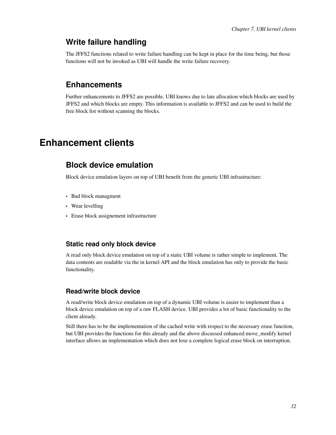### **Write failure handling**

The JFFS2 functions related to write failure handling can be kept in place for the time being, but those functions will not be invoked as UBI will handle the write failure recovery.

### **Enhancements**

Further enhancements to JFFS2 are possible. UBI knows due to late allocation which blocks are used by JFFS2 and which blocks are empty. This information is available to JFFS2 and can be used to build the free block list without scanning the blocks.

# <span id="page-37-1"></span><span id="page-37-0"></span>**Enhancement clients**

### **Block device emulation**

Block device emulation layers on top of UBI benefit from the generic UBI infrastructure:

- Bad block managment
- Wear levelling
- <span id="page-37-2"></span>• Erase block assignement infrastructure

#### **Static read only block device**

A read only block device emulation on top of a static UBI volume is rather simple to implement. The data contents are readable via the in kernel API and the block emulation has only to provide the basic functionality.

#### <span id="page-37-3"></span>**Read/write block device**

A read/write block device emulation on top of a dynamic UBI volume is easier to implement than a block device emulation on top of a raw FLASH device. UBI provides a lot of basic functionality to the client already.

Still there has to be the implementation of the cached write with respect to the necessary erase function, but UBI provides the functions for this already and the above discussed enhanced move\_modify kernel interface allows an implementation which does not lose a complete logical erase block on interruption.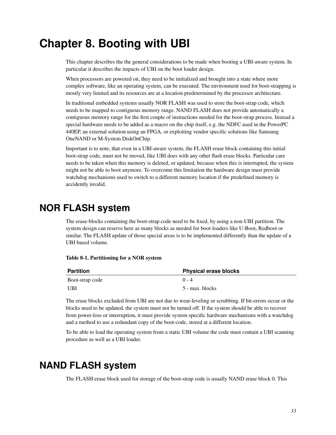# <span id="page-38-0"></span>**Chapter 8. Booting with UBI**

This chapter describes the the general considerations to be made when booting a UBI-aware system. In particular it describes the impacts of UBI on the boot loader design.

When processors are powered on, they need to be initialized and brought into a state where more complex software, like an operating system, can be executed. The environment used for boot-strapping is mostly very limited and its resources are at a location predetermined by the processor architecture.

In traditional embedded systems usually NOR FLASH was used to store the boot-strap code, which needs to be mapped to contiguous memory range. NAND FLASH does not provide automatically a contiguous memory range for the first couple of instructions needed for the boot-strap process. Instead a special hardware needs to be added as a macro on the chip itself, e.g. the NDFC used in the PowerPC 440EP, an external solution using an FPGA, or exploiting vendor specific solutions like Samsung OneNAND or M-System DiskOnChip.

Important is to note, that even in a UBI-aware system, the FLASH erase block containing this initial boot-strap code, must not be moved, like UBI does with any other flash erase blocks. Particular care needs to be taken when this memory is deleted, or updated, because when this is interrupted, the system might not be able to boot anymore. To overcome this limitation the hardware design must provide watchdog mechanisms used to switch to a different memory location if the predefined memory is accidently invalid.

# <span id="page-38-1"></span>**NOR FLASH system**

The erase-blocks containing the boot-strap code need to be fixed, by using a non-UBI partition. The system design can reserve here as many blocks as needed for boot-loaders like U-Boot, Redboot or similar. The FLASH update of those special areas is to be implemented differently than the update of a UBI based volume.

<span id="page-38-3"></span>

|  | Table 8-1. Partitioning for a NOR system |  |  |  |
|--|------------------------------------------|--|--|--|
|--|------------------------------------------|--|--|--|

| <b>Partition</b> | <b>Physical erase blocks</b> |
|------------------|------------------------------|
| Boot-strap code  | $0 - 4$                      |
| UBI              | 5 - max. blocks              |

The erase blocks excluded from UBI are not due to wear-leveling or scrubbing. If bit-errors occur or the blocks need to be updated, the system must not be turned off. If the system should be able to recover from power-loss or interruption, it must provide system specific hardware mechanisms with a watchdog and a method to use a redundant copy of the boot-code, stored at a different location.

To be able to load the operating system from a static UBI volume the code must contain a UBI scanning procedure as well as a UBI loader.

# <span id="page-38-2"></span>**NAND FLASH system**

The FLASH erase block used for storage of the boot-strap code is usually NAND erase block 0. This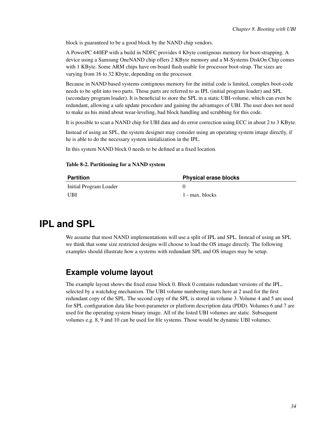block is guaranteed to be a good block by the NAND chip vendors.

A PowerPC 440EP with a build in NDFC provides 4 Kbyte contignous memory for boot-strapping. A device using a Samsung OneNAND chip offers 2 KByte memory and a M-Systems DiskOn Chip comes with 1 KByte. Some ARM chips have on-board flash usable for processor boot-strap. The sizes are varying from 16 to 32 Kbyte, depending on the processor.

Because in NAND based systems contignous memory for the initial code is limited, complex boot-code needs to be split into two parts. Those parts are referred to as IPL (initial program loader) and SPL (secondary program loader). It is beneficial to store the SPL in a static UBI-volume, which can even be redundant, allowing a safe update procedure and gaining the advantages of UBI. The user does not need to make us his mind about wear-leveling, bad block handling and scrubbing for this code.

It is possible to scan a NAND chip for UBI data and do error correction using ECC in about 2 to 3 KByte.

Instead of using an SPL, the system designer may consider using an operating system image directly, if he is able to do the necessary system initialization in the IPL.

<span id="page-39-2"></span>In this system NAND block 0 needs to be defined at a fixed location.

#### Table 8-2. Partitioning for a NAND system

| <b>Partition</b>       | <b>Physical erase blocks</b> |
|------------------------|------------------------------|
| Initial Program Loader |                              |
| UBI                    | 1 - max. blocks              |

# <span id="page-39-0"></span>**IPL and SPL**

We assume that most NAND implementations will use a split of IPL and SPL. Instead of using an SPL we think that some size restricted designs will choose to load the OS image directly. The following examples should illustrate how a systems with redundant SPL and OS images may be setup.

## <span id="page-39-1"></span>**Example volume layout**

The example layout shows the fixed erase block 0. Block 0 contains redundant versions of the IPL, selected by a watchdog mechanism. The UBI volume numbering starts here at 2 used for the first redundant copy of the SPL. The second copy of the SPL is stored in volume 3. Volume 4 and 5 are used for SPL configuration data like boot-parameter or platform description data (PDD). Volumes 6 and 7 are used for the operating system binary image. All of the listed UBI volumes are static. Subsequent volumes e.g. 8, 9 and 10 can be used for file systems. Those would be dynamic UBI volumes.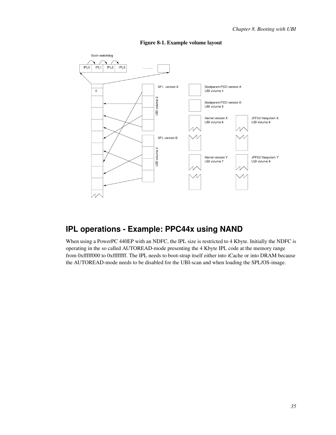

#### Figure 8-1. Example volume layout

# <span id="page-40-0"></span>**IPL operations - Example: PPC44x using NAND**

When using a PowerPC 440EP with an NDFC, the IPL size is restricted to 4 Kbyte. Initially the NDFC is operating in the so called AUTOREAD-mode presenting the 4 Kbyte IPL code at the memory range from 0xfffff000 to 0xffffffff. The IPL needs to boot-strap itself either into iCache or into DRAM because the AUTOREAD-mode needs to be disabled for the UBI-scan and when loading the SPL/OS-image.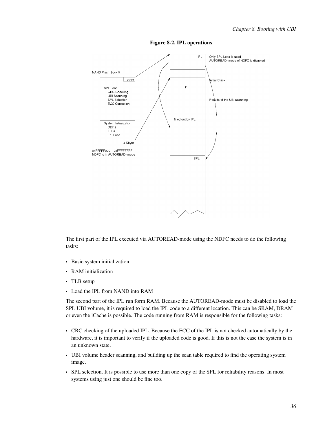

Figure 8-2. IPL operations

The first part of the IPL executed via AUTOREAD-mode using the NDFC needs to do the following tasks:

- Basic system initialization
- RAM initialization
- TLB setup
- Load the IPL from NAND into RAM

The second part of the IPL run form RAM. Because the AUTOREAD-mode must be disabled to load the SPL UBI volume, it is required to load the IPL code to a different location. This can be SRAM, DRAM or even the iCache is possible. The code running from RAM is responsible for the following tasks:

- CRC checking of the uploaded IPL. Because the ECC of the IPL is not checked automatically by the hardware, it is important to verify if the uploaded code is good. If this is not the case the system is in an unknown state.
- UBI volume header scanning, and building up the scan table required to find the operating system image.
- SPL selection. It is possible to use more than one copy of the SPL for reliability reasons. In most systems using just one should be fine too.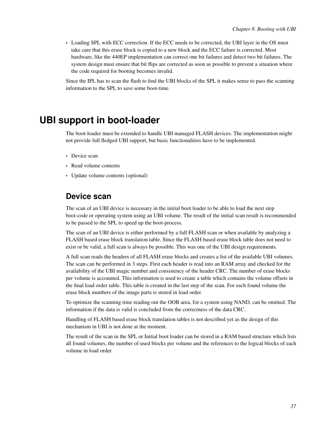• Loading SPL with ECC correction. If the ECC needs to be corrected, the UBI layer in the OS must take care that this erase block is copied to a new block and the ECC failure is corrected. Most hardware, like the 440EP implementation can correct one bit failures and detect two bit failures. The system design must ensure that bit flips are corrected as soon as possible to prevent a situation where the code required for booting becomes invalid.

Since the IPL has to scan the flash to find the UBI blocks of the SPL it makes sense to pass the scanning information to the SPL to save some boot-time.

# <span id="page-42-0"></span>**UBI support in boot-loader**

The boot-loader must be extended to handle UBI managed FLASH devices. The implementation might not provide full fledged UBI support, but basic functionalities have to be implemented.

- Device scan
- Read volume contents
- <span id="page-42-1"></span>• Update volume contents (optional)

### **Device scan**

The scan of an UBI device is necessary in the initial boot loader to be able to load the next step boot-code or operating system using an UBI volume. The result of the initial scan result is recommended to be passed to the SPL to speed up the boot-process.

The scan of an UBI device is either performed by a full FLASH scan or when available by analyzing a FLASH based erase block translation table. Since the FLASH based erase block table does not need to exist or be valid, a full scan is always be possible. This was one of the UBI design requirements.

A full scan reads the headers of all FLASH erase blocks and creates a list of the available UBI volumes. The scan can be performed in 3 steps. First each header is read into an RAM array and checked for the availability of the UBI magic number and consistency of the header CRC. The number of erase blocks per volume is accounted. This information is used to create a table which contains the volume offsets in the final load order table. This table is created in the last step of the scan. For each found volume the erase block numbers of the image parts is stored in load order.

To optimize the scanning time reading out the OOB area, for a system using NAND, can be omitted. The information if the data is valid is concluded from the correctness of the data CRC.

Handling of FLASH based erase block translation tables is not described yet as the design of this mechanism in UBI is not done at the moment.

<span id="page-42-2"></span>The result of the scan in the SPL or Initial boot loader can be stored in a RAM based structure which lists all found volumes, the number of used blocks per volume and the references to the logical blocks of each volume in load order.